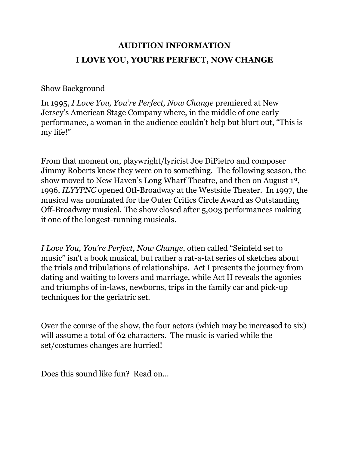# **AUDITION INFORMATION I LOVE YOU, YOU'RE PERFECT, NOW CHANGE**

#### Show Background

In 1995, *I Love You, You're Perfect, Now Change* premiered at New Jersey's American Stage Company where, in the middle of one early performance, a woman in the audience couldn't help but blurt out, "This is my life!"

From that moment on, playwright/lyricist Joe DiPietro and composer Jimmy Roberts knew they were on to something. The following season, the show moved to New Haven's Long Wharf Theatre, and then on August 1st, 1996, *ILYYPNC* opened Off-Broadway at the Westside Theater. In 1997, the musical was nominated for the Outer Critics Circle Award as Outstanding Off-Broadway musical. The show closed after 5,003 performances making it one of the longest-running musicals.

*I Love You, You're Perfect, Now Change*, often called "Seinfeld set to music" isn't a book musical, but rather a rat-a-tat series of sketches about the trials and tribulations of relationships. Act I presents the journey from dating and waiting to lovers and marriage, while Act II reveals the agonies and triumphs of in-laws, newborns, trips in the family car and pick-up techniques for the geriatric set.

Over the course of the show, the four actors (which may be increased to six) will assume a total of 62 characters. The music is varied while the set/costumes changes are hurried!

Does this sound like fun? Read on...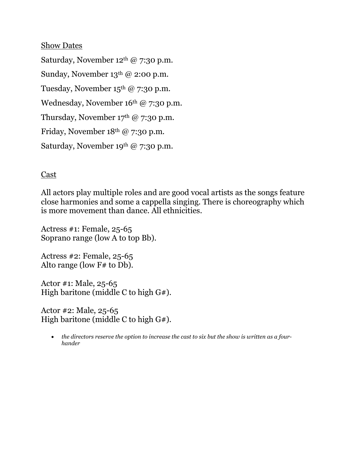#### Show Dates

Saturday, November 12th @ 7:30 p.m. Sunday, November 13<sup>th</sup> @ 2:00 p.m. Tuesday, November  $15<sup>th</sup>$  @ 7:30 p.m. Wednesday, November 16<sup>th</sup> @ 7:30 p.m. Thursday, November  $17<sup>th</sup>$  @ 7:30 p.m. Friday, November 18th @ 7:30 p.m. Saturday, November 19th @ 7:30 p.m.

#### Cast

All actors play multiple roles and are good vocal artists as the songs feature close harmonies and some a cappella singing. There is choreography which is more movement than dance. All ethnicities.

Actress #1: Female, 25-65 Soprano range (low A to top Bb).

Actress #2: Female, 25-65 Alto range (low F# to Db).

Actor #1: Male, 25-65 High baritone (middle C to high  $G#$ ).

Actor #2: Male, 25-65 High baritone (middle C to high G#).

• *the directors reserve the option to increase the cast to six but the show is written as a fourhander*